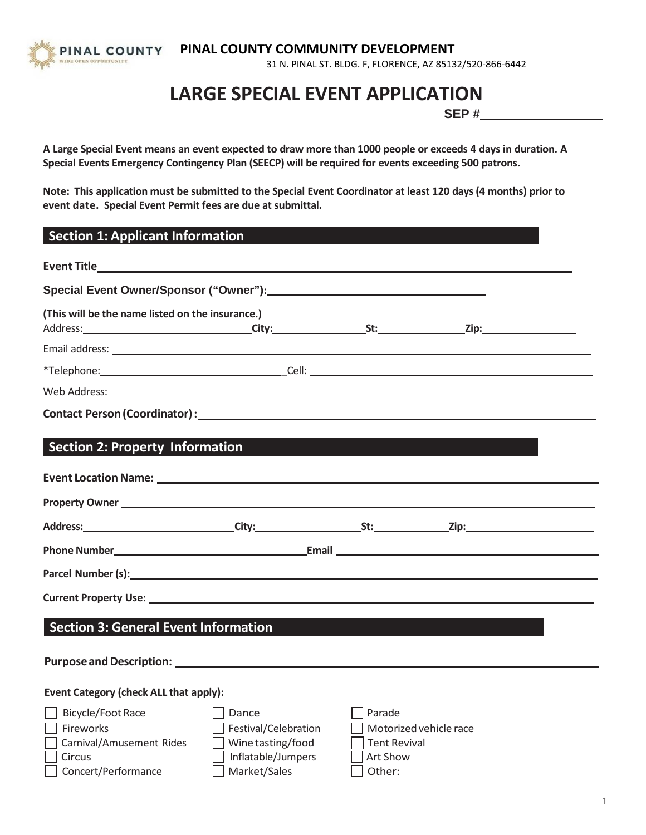PINAL COUNTY OPEN OPPORTUNITY

# **PINAL COUNTY COMMUNITY DEVELOPMENT**

31 N. PINAL ST. BLDG. F, FLORENCE, AZ 85132/520-866-6442

# **LARGE SPECIAL EVENT APPLICATION**

**SEP #** 

A Large Special Event means an event expected to draw more than 1000 people or exceeds 4 days in duration. A **Special Events Emergency Contingency Plan (SEECP) will be required for events exceeding 500 patrons.**

Note: This application must be submitted to the Special Event Coordinator at least 120 days (4 months) prior to **event date. Special Event Permit fees are due at submittal.**

| <b>Section 1: Applicant Information</b>                                                                                                                                                                                        |                                                                                                                |                                           |                        |  |
|--------------------------------------------------------------------------------------------------------------------------------------------------------------------------------------------------------------------------------|----------------------------------------------------------------------------------------------------------------|-------------------------------------------|------------------------|--|
| Event Titles and the service of the service of the service of the service of the service of the service of the                                                                                                                 |                                                                                                                |                                           |                        |  |
|                                                                                                                                                                                                                                |                                                                                                                |                                           |                        |  |
| (This will be the name listed on the insurance.)                                                                                                                                                                               |                                                                                                                |                                           |                        |  |
|                                                                                                                                                                                                                                |                                                                                                                |                                           |                        |  |
|                                                                                                                                                                                                                                |                                                                                                                |                                           |                        |  |
|                                                                                                                                                                                                                                |                                                                                                                |                                           |                        |  |
|                                                                                                                                                                                                                                |                                                                                                                |                                           |                        |  |
| <b>Section 2: Property Information</b>                                                                                                                                                                                         | and the state of the state of the state of the state of the state of the state of the state of the state of th |                                           |                        |  |
|                                                                                                                                                                                                                                |                                                                                                                |                                           |                        |  |
|                                                                                                                                                                                                                                |                                                                                                                |                                           |                        |  |
|                                                                                                                                                                                                                                |                                                                                                                |                                           |                        |  |
|                                                                                                                                                                                                                                |                                                                                                                |                                           |                        |  |
| Parcel Number (s): with a state of the state of the state of the state of the state of the state of the state of the state of the state of the state of the state of the state of the state of the state of the state of the s |                                                                                                                |                                           |                        |  |
|                                                                                                                                                                                                                                |                                                                                                                |                                           |                        |  |
| <b>Section 3: General Event Information</b>                                                                                                                                                                                    |                                                                                                                |                                           |                        |  |
|                                                                                                                                                                                                                                |                                                                                                                |                                           |                        |  |
| Purpose and Description: National Purpose and Description:                                                                                                                                                                     |                                                                                                                |                                           |                        |  |
| <b>Event Category (check ALL that apply):</b>                                                                                                                                                                                  |                                                                                                                |                                           |                        |  |
| Bicycle/Foot Race<br>Fireworks<br>Carnival/Amusement Rides<br>Circus                                                                                                                                                           | Dance<br>Festival/Celebration<br>Wine tasting/food<br>Inflatable/Jumpers                                       | Parade<br><b>Tent Revival</b><br>Art Show | Motorized vehicle race |  |
| Concert/Performance                                                                                                                                                                                                            | Market/Sales                                                                                                   | Other:                                    |                        |  |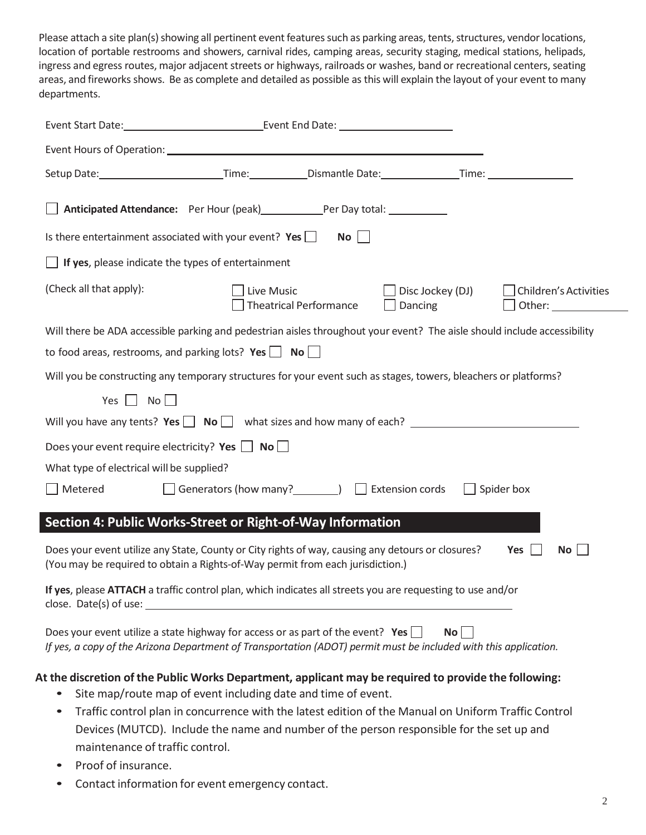Please attach a site plan(s) showing all pertinent event features such as parking areas, tents, structures, vendor locations, location of portable restrooms and showers, carnival rides, camping areas, security staging, medical stations, helipads, ingress and egress routes, major adjacent streets or highways, railroads or washes, band or recreational centers, seating areas, and fireworks shows. Be as complete and detailed as possible as this will explain the layout of your event to many departments.

| Anticipated Attendance: Per Hour (peak) Per Day total: 1992                                                                                                                                                |                                                               |                               |                                                                                                      |                       |
|------------------------------------------------------------------------------------------------------------------------------------------------------------------------------------------------------------|---------------------------------------------------------------|-------------------------------|------------------------------------------------------------------------------------------------------|-----------------------|
| Is there entertainment associated with your event? Yes $\Box$                                                                                                                                              |                                                               | $No$                          |                                                                                                      |                       |
| $\Box$ If yes, please indicate the types of entertainment                                                                                                                                                  |                                                               |                               |                                                                                                      |                       |
| (Check all that apply):                                                                                                                                                                                    | Live Music                                                    | <b>Theatrical Performance</b> | Disc Jockey (DJ)<br>Dancing                                                                          | Children's Activities |
| Will there be ADA accessible parking and pedestrian aisles throughout your event? The aisle should include accessibility                                                                                   |                                                               |                               |                                                                                                      |                       |
| to food areas, restrooms, and parking lots? Yes $\Box$ No $\Box$                                                                                                                                           |                                                               |                               |                                                                                                      |                       |
| Will you be constructing any temporary structures for your event such as stages, towers, bleachers or platforms?                                                                                           |                                                               |                               |                                                                                                      |                       |
| $Yes \tNo$                                                                                                                                                                                                 |                                                               |                               |                                                                                                      |                       |
| Will you have any tents? $Yes \Box \ No \Box$ what sizes and how many of each?                                                                                                                             |                                                               |                               |                                                                                                      |                       |
| Does your event require electricity? Yes $\Box$ No $\Box$                                                                                                                                                  |                                                               |                               |                                                                                                      |                       |
| What type of electrical will be supplied?                                                                                                                                                                  |                                                               |                               |                                                                                                      |                       |
| Metered                                                                                                                                                                                                    | □ Generators (how many?<br>□ Extension cords                  |                               |                                                                                                      | $\Box$ Spider box     |
| Section 4: Public Works-Street or Right-of-Way Information                                                                                                                                                 |                                                               |                               |                                                                                                      |                       |
| Does your event utilize any State, County or City rights of way, causing any detours or closures?<br>(You may be required to obtain a Rights-of-Way permit from each jurisdiction.)                        |                                                               |                               |                                                                                                      | Yes $  \;  $<br>No    |
| If yes, please ATTACH a traffic control plan, which indicates all streets you are requesting to use and/or<br>close. Date(s) of use: $\_\_$                                                                |                                                               |                               |                                                                                                      |                       |
| Does your event utilize a state highway for access or as part of the event? Yes $\Box$<br>If yes, a copy of the Arizona Department of Transportation (ADOT) permit must be included with this application. |                                                               |                               | $No$                                                                                                 |                       |
| At the discretion of the Public Works Department, applicant may be required to provide the following:                                                                                                      | Site map/route map of event including date and time of event. |                               |                                                                                                      |                       |
|                                                                                                                                                                                                            |                                                               |                               | Traffic control plan in concurrence with the latest edition of the Manual on Uniform Traffic Control |                       |

- Traffic control plan in concurrence with the latest edition of the Manual on Uniform Traffic Control Devices (MUTCD). Include the name and number of the person responsible for the set up and maintenance of traffic control.
- Proof of insurance.
- Contact information for event emergency contact.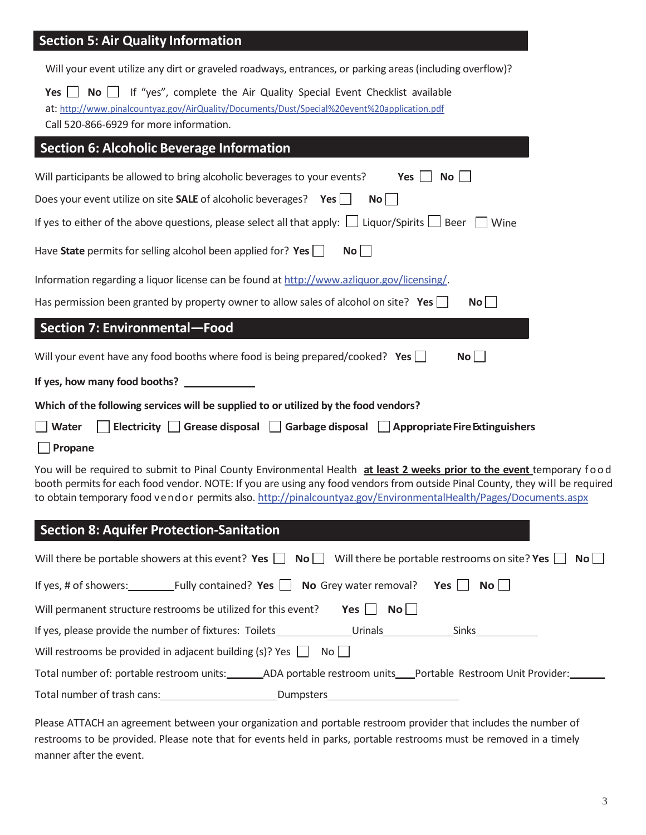## **Section 5: Air Quality Information**

| No   If "yes", complete the Air Quality Special Event Checklist available<br>Yes $  \cdot  $<br>at: http://www.pinalcountyaz.gov/AirQuality/Documents/Dust/Special%20event%20application.pdf<br>Call 520-866-6929 for more information.                                                                                                                                                                                                                                                                        |
|----------------------------------------------------------------------------------------------------------------------------------------------------------------------------------------------------------------------------------------------------------------------------------------------------------------------------------------------------------------------------------------------------------------------------------------------------------------------------------------------------------------|
| <b>Section 6: Alcoholic Beverage Information</b>                                                                                                                                                                                                                                                                                                                                                                                                                                                               |
| Will participants be allowed to bring alcoholic beverages to your events?<br>No <sub>1</sub><br>Yes<br>Does your event utilize on site <b>SALE</b> of alcoholic beverages? <b>Yes</b> $\Box$<br>$\mathsf{No}$                                                                                                                                                                                                                                                                                                  |
| If yes to either of the above questions, please select all that apply: $\Box$ Liquor/Spirits $\Box$ Beer $\Box$ Wine<br>Have State permits for selling alcohol been applied for? Yes $\Box$<br>$\mathsf{No}$                                                                                                                                                                                                                                                                                                   |
| Information regarding a liquor license can be found at http://www.azliquor.gov/licensing/.<br>Has permission been granted by property owner to allow sales of alcohol on site? Yes $\Box$<br>$\mathsf{No}$                                                                                                                                                                                                                                                                                                     |
| <b>Section 7: Environmental-Food</b>                                                                                                                                                                                                                                                                                                                                                                                                                                                                           |
| Will your event have any food booths where food is being prepared/cooked? Yes $\Box$<br>$\mathsf{No}$                                                                                                                                                                                                                                                                                                                                                                                                          |
| If yes, how many food booths?                                                                                                                                                                                                                                                                                                                                                                                                                                                                                  |
| Which of the following services will be supplied to or utilized by the food vendors?                                                                                                                                                                                                                                                                                                                                                                                                                           |
| Electricity   Grease disposal   Garbage disposal   Appropriate Fire Extinguishers<br>  Water<br>Propane                                                                                                                                                                                                                                                                                                                                                                                                        |
| You will be required to submit to Pinal County Environmental Health at least 2 weeks prior to the event temporary food<br>booth permits for each food vendor. NOTE: If you are using any food vendors from outside Pinal County, they will be required<br>to obtain temporary food vendor permits also. http://pinalcountyaz.gov/EnvironmentalHealth/Pages/Documents.aspx                                                                                                                                      |
| <b>Section 8: Aquifer Protection-Sanitation</b>                                                                                                                                                                                                                                                                                                                                                                                                                                                                |
| Will there be portable showers at this event? Yes $\Box$ No $\Box$ Will there be portable restrooms on site? Yes $\Box$<br>$N$ o $\vert$ $\vert$                                                                                                                                                                                                                                                                                                                                                               |
| $\begin{array}{ccc} \hline \end{array}$ $\begin{array}{ccc} \hline \end{array}$ $\begin{array}{ccc} \hline \end{array}$ $\begin{array}{ccc} \hline \end{array}$ $\begin{array}{ccc} \hline \end{array}$ $\begin{array}{ccc} \hline \end{array}$ $\begin{array}{ccc} \hline \end{array}$ $\begin{array}{ccc} \hline \end{array}$ $\begin{array}{ccc} \hline \end{array}$ $\begin{array}{ccc} \hline \end{array}$ $\begin{array}{ccc} \hline \end{array}$ $\begin{array}{ccc} \hline \end{array}$ $\begin{array$ |

| Fully contained? Yes $\Box$ No Grey water removal?<br>If yes, # of showers: |           |                    | $\mathsf{No}$    <br>Yes $ $                                  |  |
|-----------------------------------------------------------------------------|-----------|--------------------|---------------------------------------------------------------|--|
| Will permanent structure restrooms be utilized for this event?              |           | Yes  <br>$N$ o $ $ |                                                               |  |
| If yes, please provide the number of fixtures: Toilets                      |           | Urinals            | <b>Sinks</b>                                                  |  |
| Will restrooms be provided in adjacent building (s)? Yes $\Box$             | Noll      |                    |                                                               |  |
| Total number of: portable restroom units:                                   |           |                    | ADA portable restroom units  Portable Restroom Unit Provider: |  |
| Total number of trash cans:                                                 | Dumpsters |                    |                                                               |  |

Please ATTACH an agreement between your organization and portable restroom provider that includes the number of restrooms to be provided. Please note that for events held in parks, portable restrooms must be removed in a timely manner after the event.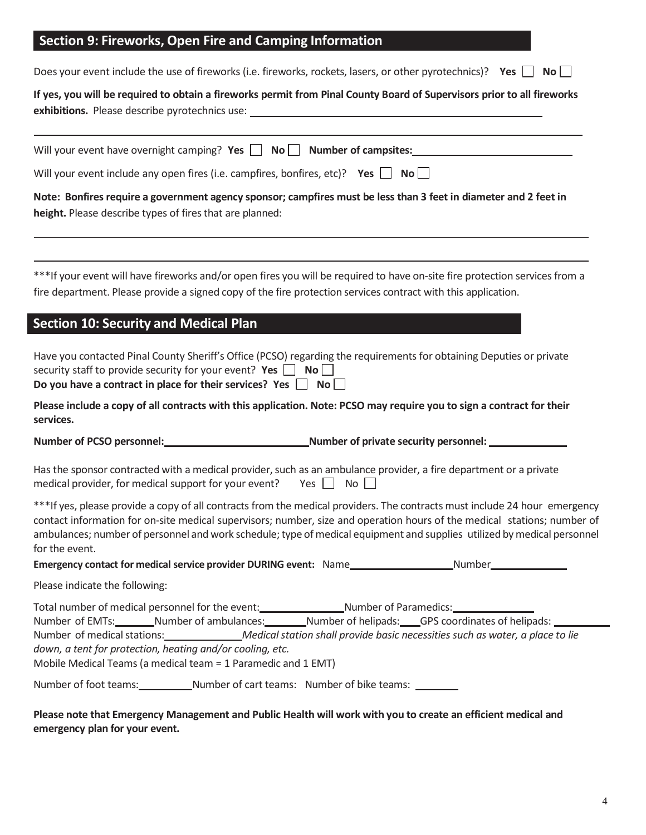#### **Section 9: Fireworks, Open Fire and Camping Information**

Does your event include the use of fireworks (i.e. fireworks, rockets, lasers, or other pyrotechnics)? **Yes**  $\Box$  **No** 

| If yes, you will be required to obtain a fireworks permit from Pinal County Board of Supervisors prior to all fireworks |
|-------------------------------------------------------------------------------------------------------------------------|
| exhibitions. Please describe pyrotechnics use:                                                                          |
|                                                                                                                         |

| Will your event have overnight camping? Yes $\Box$ No $\Box$ Number of campsites: |  |  |
|-----------------------------------------------------------------------------------|--|--|
|                                                                                   |  |  |

Will your event include any open fires (i.e. campfires, bonfires, etc)? **Yes**  $\Box$  **No** $\Box$ 

Note: Bonfires require a government agency sponsor; campfires must be less than 3 feet in diameter and 2 feet in height. Please describe types of fires that are planned:

\*\*\*If your event will have fireworks and/or open fires you will be required to have on-site fire protection services from a fire department. Please provide a signed copy of the fire protection services contract with this application.

## **Section 10: Security and Medical Plan**

| Do you have a contract in place for their services? Yes $\Box$ No $\Box$                                             |
|----------------------------------------------------------------------------------------------------------------------|
| security staff to provide security for your event? Yes $\Box$ No $\Box$                                              |
| Have you contacted Pinal County Sheriff's Office (PCSO) regarding the requirements for obtaining Deputies or private |

**Please include a copy of all contracts with this application. Note: PCSO may require you to sign a contract for their services.**

**Number** of PCSO personnel: **Number of private security** personnel: <u>Number</u> **0** 

Has the sponsor contracted with a medical provider, such as an ambulance provider, a fire department or a private medical provider, for medical support for your event? Yes  $\Box$  No  $\Box$ 

\*\*\*If yes, please provide a copy of all contracts from the medical providers. The contracts must include 24 hour emergency contact information for on-site medical supervisors; number, size and operation hours of the medical stations; number of ambulances; number of personnel and work schedule; type of medical equipment and supplies utilized by medical personnel for the event.

**Emergency contact for medical service provider DURING event:** Name Number

Please indicate the following:

|                       | Total number of medical personnel for the event:              |                                                | Number of Paramedics: Number of Paramedics:                                                                     |
|-----------------------|---------------------------------------------------------------|------------------------------------------------|-----------------------------------------------------------------------------------------------------------------|
|                       |                                                               |                                                | Number of EMTs:_________Number of ambulances:_________Number of helipads:____GPS coordinates of helipads: _____ |
|                       |                                                               |                                                | Number of medical stations: Medical station shall provide basic necessities such as water, a place to lie       |
|                       | down, a tent for protection, heating and/or cooling, etc.     |                                                |                                                                                                                 |
|                       | Mobile Medical Teams (a medical team = 1 Paramedic and 1 EMT) |                                                |                                                                                                                 |
| Number of foot teams: |                                                               | _Number of cart teams: Number of bike teams: _ |                                                                                                                 |

Please note that Emergency Management and Public Health will work with you to create an efficient medical and **emergency plan for your event.**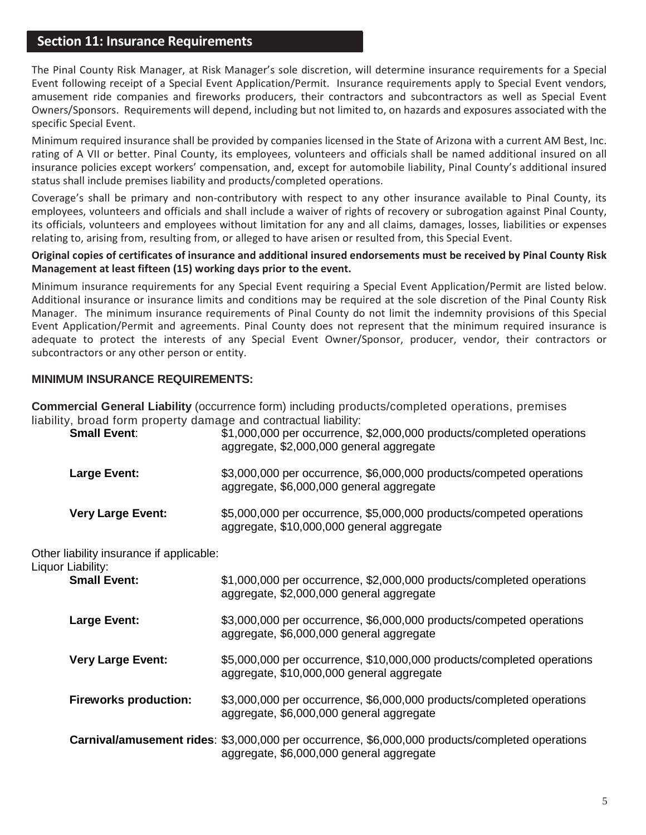### **Section 11: Insurance Requirements**

The Pinal County Risk Manager, at Risk Manager's sole discretion, will determine insurance requirements for a Special Event following receipt of a Special Event Application/Permit. Insurance requirements apply to Special Event vendors, amusement ride companies and fireworks producers, their contractors and subcontractors as well as Special Event Owners/Sponsors. Requirements will depend, including but not limited to, on hazards and exposures associated with the specific Special Event.

Minimum required insurance shall be provided by companies licensed in the State of Arizona with a current AM Best, Inc. rating of A VII or better. Pinal County, its employees, volunteers and officials shall be named additional insured on all insurance policies except workers' compensation, and, except for automobile liability, Pinal County's additional insured status shall include premises liability and products/completed operations.

Coverage's shall be primary and non-contributory with respect to any other insurance available to Pinal County, its employees, volunteers and officials and shall include a waiver of rights of recovery or subrogation against Pinal County, its officials, volunteers and employees without limitation for any and all claims, damages, losses, liabilities or expenses relating to, arising from, resulting from, or alleged to have arisen or resulted from, this Special Event.

#### **Original copies of certificates of insurance and additional insured endorsements must be received by Pinal County Risk Management at least fifteen (15) working days prior to the event.**

Minimum insurance requirements for any Special Event requiring a Special Event Application/Permit are listed below. Additional insurance or insurance limits and conditions may be required at the sole discretion of the Pinal County Risk Manager. The minimum insurance requirements of Pinal County do not limit the indemnity provisions of this Special Event Application/Permit and agreements. Pinal County does not represent that the minimum required insurance is adequate to protect the interests of any Special Event Owner/Sponsor, producer, vendor, their contractors or subcontractors or any other person or entity.

#### **MINIMUM INSURANCE REQUIREMENTS:**

**Commercial General Liability** (occurrence form) including products/completed operations, premises liability, broad form property damage and contractual liability:

| <b>Small Event:</b>      | \$1,000,000 per occurrence, \$2,000,000 products/completed operations<br>aggregate, \$2,000,000 general aggregate |
|--------------------------|-------------------------------------------------------------------------------------------------------------------|
| Large Event:             | \$3,000,000 per occurrence, \$6,000,000 products/competed operations<br>aggregate, \$6,000,000 general aggregate  |
| <b>Very Large Event:</b> | \$5,000,000 per occurrence, \$5,000,000 products/competed operations<br>aggregate, \$10,000,000 general aggregate |

Other liability insurance if applicable:

Liquor Liability:

| Liability.<br><b>Small Event:</b> | \$1,000,000 per occurrence, \$2,000,000 products/completed operations<br>aggregate, \$2,000,000 general aggregate                           |
|-----------------------------------|---------------------------------------------------------------------------------------------------------------------------------------------|
| <b>Large Event:</b>               | \$3,000,000 per occurrence, \$6,000,000 products/competed operations<br>aggregate, \$6,000,000 general aggregate                            |
| <b>Very Large Event:</b>          | \$5,000,000 per occurrence, \$10,000,000 products/completed operations<br>aggregate, \$10,000,000 general aggregate                         |
| <b>Fireworks production:</b>      | \$3,000,000 per occurrence, \$6,000,000 products/completed operations<br>aggregate, \$6,000,000 general aggregate                           |
|                                   | Carnival/amusement rides: \$3,000,000 per occurrence, \$6,000,000 products/completed operations<br>aggregate, \$6,000,000 general aggregate |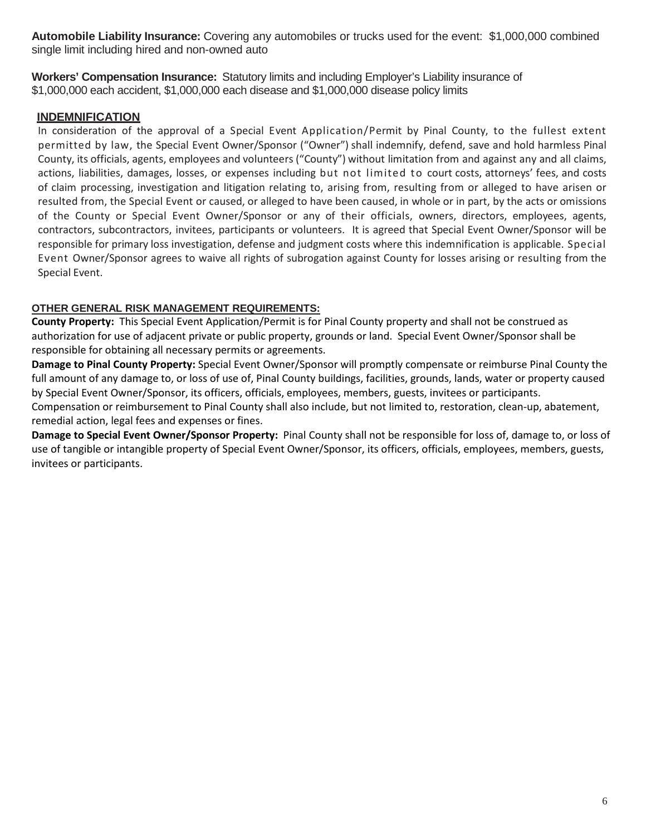**Automobile Liability Insurance:** Covering any automobiles or trucks used for the event: \$1,000,000 combined single limit including hired and non-owned auto

**Workers' Compensation Insurance:** Statutory limits and including Employer's Liability insurance of \$1,000,000 each accident, \$1,000,000 each disease and \$1,000,000 disease policy limits

#### **INDEMNIFICATION**

In consideration of the approval of a Special Event Application/Permit by Pinal County, to the fullest extent permitted by law, the Special Event Owner/Sponsor ("Owner") shall indemnify, defend, save and hold harmless Pinal County, its officials, agents, employees and volunteers ("County") without limitation from and against any and all claims, actions, liabilities, damages, losses, or expenses including but not limited to court costs, attorneys' fees, and costs of claim processing, investigation and litigation relating to, arising from, resulting from or alleged to have arisen or resulted from, the Special Event or caused, or alleged to have been caused, in whole or in part, by the acts or omissions of the County or Special Event Owner/Sponsor or any of their officials, owners, directors, employees, agents, contractors, subcontractors, invitees, participants or volunteers. It is agreed that Special Event Owner/Sponsor will be responsible for primary loss investigation, defense and judgment costs where this indemnification is applicable. Special Event Owner/Sponsor agrees to waive all rights of subrogation against County for losses arising or resulting from the Special Event.

#### **OTHER GENERAL RISK MANAGEMENT REQUIREMENTS:**

**County Property:** This Special Event Application/Permit is for Pinal County property and shall not be construed as authorization for use of adjacent private or public property, grounds or land. Special Event Owner/Sponsor shall be responsible for obtaining all necessary permits or agreements.

**Damage to Pinal County Property:** Special Event Owner/Sponsor will promptly compensate or reimburse Pinal County the full amount of any damage to, or loss of use of, Pinal County buildings, facilities, grounds, lands, water or property caused by Special Event Owner/Sponsor, its officers, officials, employees, members, guests, invitees or participants.

Compensation or reimbursement to Pinal County shall also include, but not limited to, restoration, clean-up, abatement, remedial action, legal fees and expenses or fines.

**Damage to Special Event Owner/Sponsor Property:** Pinal County shall not be responsible for loss of, damage to, or loss of use of tangible or intangible property of Special Event Owner/Sponsor, its officers, officials, employees, members, guests, invitees or participants.